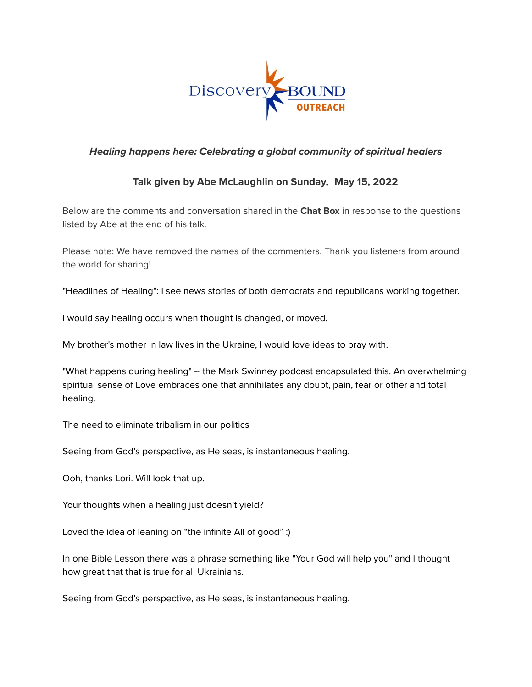

## **Healing happens here: Celebrating a global community of spiritual healers**

## **Talk given by Abe McLaughlin on Sunday, May 15, 2022**

Below are the comments and conversation shared in the **Chat Box** in response to the questions listed by Abe at the end of his talk.

Please note: We have removed the names of the commenters. Thank you listeners from around the world for sharing!

"Headlines of Healing": I see news stories of both democrats and republicans working together.

I would say healing occurs when thought is changed, or moved.

My brother's mother in law lives in the Ukraine, I would love ideas to pray with.

"What happens during healing" -- the Mark Swinney podcast encapsulated this. An overwhelming spiritual sense of Love embraces one that annihilates any doubt, pain, fear or other and total healing.

The need to eliminate tribalism in our politics

Seeing from God's perspective, as He sees, is instantaneous healing.

Ooh, thanks Lori. Will look that up.

Your thoughts when a healing just doesn't yield?

Loved the idea of leaning on "the infinite All of good" :)

In one Bible Lesson there was a phrase something like "Your God will help you" and I thought how great that that is true for all Ukrainians.

Seeing from God's perspective, as He sees, is instantaneous healing.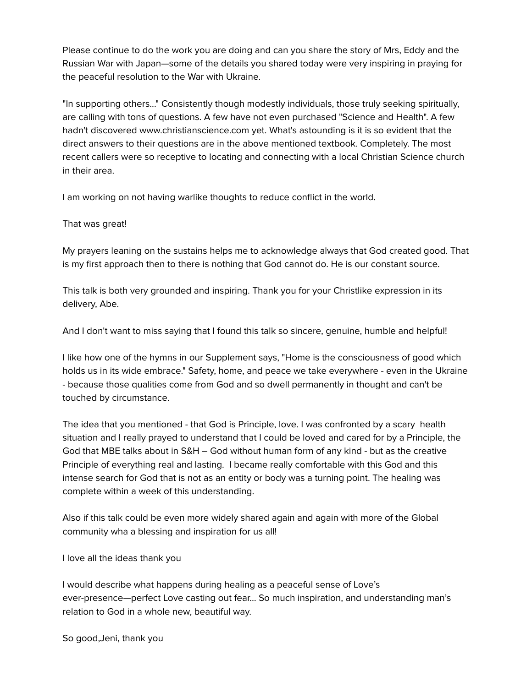Please continue to do the work you are doing and can you share the story of Mrs, Eddy and the Russian War with Japan—some of the details you shared today were very inspiring in praying for the peaceful resolution to the War with Ukraine.

"In supporting others..." Consistently though modestly individuals, those truly seeking spiritually, are calling with tons of questions. A few have not even purchased "Science and Health". A few hadn't discovered www.christianscience.com yet. What's astounding is it is so evident that the direct answers to their questions are in the above mentioned textbook. Completely. The most recent callers were so receptive to locating and connecting with a local Christian Science church in their area.

I am working on not having warlike thoughts to reduce conflict in the world.

## That was great!

My prayers leaning on the sustains helps me to acknowledge always that God created good. That is my first approach then to there is nothing that God cannot do. He is our constant source.

This talk is both very grounded and inspiring. Thank you for your Christlike expression in its delivery, Abe.

And I don't want to miss saying that I found this talk so sincere, genuine, humble and helpful!

I like how one of the hymns in our Supplement says, "Home is the consciousness of good which holds us in its wide embrace." Safety, home, and peace we take everywhere - even in the Ukraine - because those qualities come from God and so dwell permanently in thought and can't be touched by circumstance.

The idea that you mentioned - that God is Principle, love. I was confronted by a scary health situation and I really prayed to understand that I could be loved and cared for by a Principle, the God that MBE talks about in S&H – God without human form of any kind - but as the creative Principle of everything real and lasting. I became really comfortable with this God and this intense search for God that is not as an entity or body was a turning point. The healing was complete within a week of this understanding.

Also if this talk could be even more widely shared again and again with more of the Global community wha a blessing and inspiration for us all!

I love all the ideas thank you

I would describe what happens during healing as a peaceful sense of Love's ever-presence—perfect Love casting out fear… So much inspiration, and understanding man's relation to God in a whole new, beautiful way.

So good,Jeni, thank you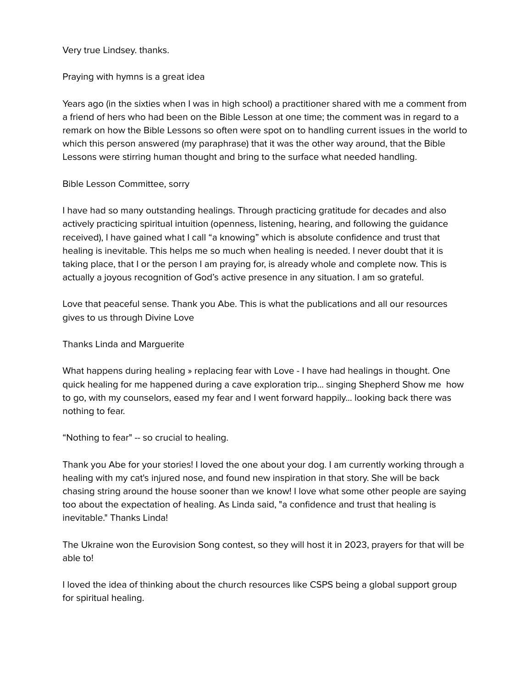Very true Lindsey. thanks.

Praying with hymns is a great idea

Years ago (in the sixties when I was in high school) a practitioner shared with me a comment from a friend of hers who had been on the Bible Lesson at one time; the comment was in regard to a remark on how the Bible Lessons so often were spot on to handling current issues in the world to which this person answered (my paraphrase) that it was the other way around, that the Bible Lessons were stirring human thought and bring to the surface what needed handling.

Bible Lesson Committee, sorry

I have had so many outstanding healings. Through practicing gratitude for decades and also actively practicing spiritual intuition (openness, listening, hearing, and following the guidance received), I have gained what I call "a knowing" which is absolute confidence and trust that healing is inevitable. This helps me so much when healing is needed. I never doubt that it is taking place, that I or the person I am praying for, is already whole and complete now. This is actually a joyous recognition of God's active presence in any situation. I am so grateful.

Love that peaceful sense. Thank you Abe. This is what the publications and all our resources gives to us through Divine Love

Thanks Linda and Marguerite

What happens during healing » replacing fear with Love - I have had healings in thought. One quick healing for me happened during a cave exploration trip… singing Shepherd Show me how to go, with my counselors, eased my fear and I went forward happily… looking back there was nothing to fear.

"Nothing to fear" -- so crucial to healing.

Thank you Abe for your stories! I loved the one about your dog. I am currently working through a healing with my cat's injured nose, and found new inspiration in that story. She will be back chasing string around the house sooner than we know! I love what some other people are saying too about the expectation of healing. As Linda said, "a confidence and trust that healing is inevitable." Thanks Linda!

The Ukraine won the Eurovision Song contest, so they will host it in 2023, prayers for that will be able to!

I loved the idea of thinking about the church resources like CSPS being a global support group for spiritual healing.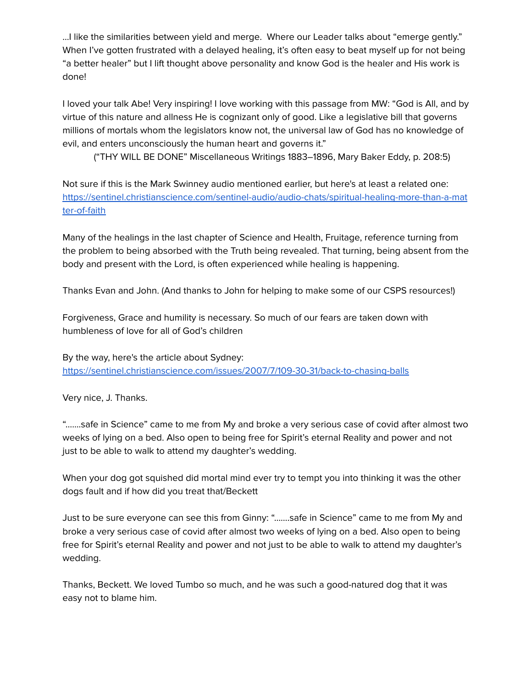…I like the similarities between yield and merge. Where our Leader talks about "emerge gently." When I've gotten frustrated with a delayed healing, it's often easy to beat myself up for not being "a better healer" but I lift thought above personality and know God is the healer and His work is done!

I loved your talk Abe! Very inspiring! I love working with this passage from MW: "God is All, and by virtue of this nature and allness He is cognizant only of good. Like a legislative bill that governs millions of mortals whom the legislators know not, the universal law of God has no knowledge of evil, and enters unconsciously the human heart and governs it."

("THY WILL BE DONE" Miscellaneous Writings 1883–1896, Mary Baker Eddy, p. 208:5)

Not sure if this is the Mark Swinney audio mentioned earlier, but here's at least a related one: [https://sentinel.christianscience.com/sentinel-audio/audio-chats/spiritual-healing-more-than-a-mat](https://sentinel.christianscience.com/sentinel-audio/audio-chats/spiritual-healing-more-than-a-matter-of-faith) [ter-of-faith](https://sentinel.christianscience.com/sentinel-audio/audio-chats/spiritual-healing-more-than-a-matter-of-faith)

Many of the healings in the last chapter of Science and Health, Fruitage, reference turning from the problem to being absorbed with the Truth being revealed. That turning, being absent from the body and present with the Lord, is often experienced while healing is happening.

Thanks Evan and John. (And thanks to John for helping to make some of our CSPS resources!)

Forgiveness, Grace and humility is necessary. So much of our fears are taken down with humbleness of love for all of God's children

By the way, here's the article about Sydney: <https://sentinel.christianscience.com/issues/2007/7/109-30-31/back-to-chasing-balls>

Very nice, J. Thanks.

"…….safe in Science" came to me from My and broke a very serious case of covid after almost two weeks of lying on a bed. Also open to being free for Spirit's eternal Reality and power and not just to be able to walk to attend my daughter's wedding.

When your dog got squished did mortal mind ever try to tempt you into thinking it was the other dogs fault and if how did you treat that/Beckett

Just to be sure everyone can see this from Ginny: "…….safe in Science" came to me from My and broke a very serious case of covid after almost two weeks of lying on a bed. Also open to being free for Spirit's eternal Reality and power and not just to be able to walk to attend my daughter's wedding.

Thanks, Beckett. We loved Tumbo so much, and he was such a good-natured dog that it was easy not to blame him.